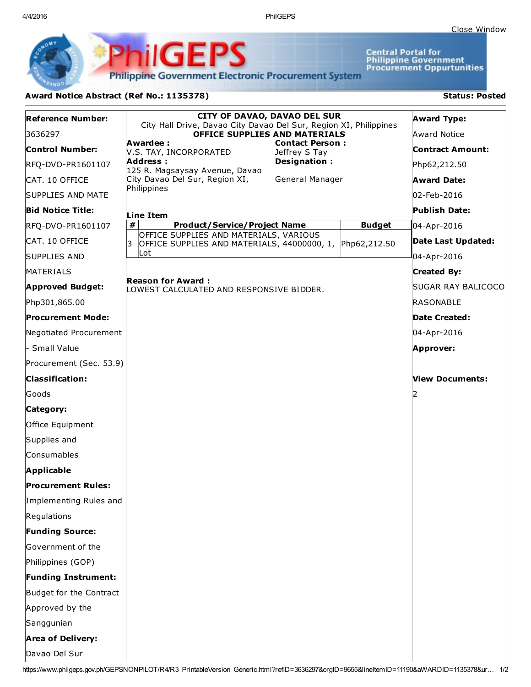4/4/2016 PhilGEPS

**Central Portal for<br>Philippine Government<br>Procurement Oppurtunities** 

**Philippine Government Electronic Procurement System** 

**PhilGEPS** 

## Award Notice Abstract (Ref No.: 1135378) Status: Posted

| <b>Reference Number:</b>                                                                                                                      | <b>CITY OF DAVAO, DAVAO DEL SUR</b>                                                                      |               | <b>Award Type:</b>      |  |
|-----------------------------------------------------------------------------------------------------------------------------------------------|----------------------------------------------------------------------------------------------------------|---------------|-------------------------|--|
| 3636297                                                                                                                                       | City Hall Drive, Davao City Davao Del Sur, Region XI, Philippines<br>OFFICE SUPPLIES AND MATERIALS       |               | Award Notice            |  |
| <b>Control Number:</b>                                                                                                                        | Awardee :<br><b>Contact Person:</b><br>V.S. TAY, INCORPORATED<br>Jeffrey S Tay                           |               | <b>Contract Amount:</b> |  |
| RFQ-DVO-PR1601107                                                                                                                             | <b>Address:</b><br>Designation:<br>125 R. Magsaysay Avenue, Davao                                        |               | Php62,212.50            |  |
| CAT. 10 OFFICE                                                                                                                                | City Davao Del Sur, Region XI,<br>General Manager                                                        |               | <b>Award Date:</b>      |  |
| SUPPLIES AND MATE                                                                                                                             | Philippines                                                                                              |               | 02-Feb-2016             |  |
| <b>Bid Notice Title:</b>                                                                                                                      | Line Item                                                                                                |               | Publish Date:           |  |
| RFQ-DVO-PR1601107                                                                                                                             | #<br><b>Product/Service/Project Name</b>                                                                 | <b>Budget</b> | 04-Apr-2016             |  |
| CAT. 10 OFFICE                                                                                                                                | OFFICE SUPPLIES AND MATERIALS, VARIOUS<br>l3<br>OFFICE SUPPLIES AND MATERIALS, 44000000, 1, Php62,212.50 |               | Date Last Updated:      |  |
| <b>SUPPLIES AND</b>                                                                                                                           | lLot.                                                                                                    |               | 04-Apr-2016             |  |
| <b>MATERIALS</b>                                                                                                                              |                                                                                                          |               | <b>Created By:</b>      |  |
| <b>Approved Budget:</b>                                                                                                                       | <b>Reason for Award:</b><br>LOWEST CALCULATED AND RESPONSIVE BIDDER.                                     |               | SUGAR RAY BALICOCO      |  |
| Php301,865.00                                                                                                                                 |                                                                                                          |               | RASONABLE               |  |
| <b>Procurement Mode:</b>                                                                                                                      |                                                                                                          |               | Date Created:           |  |
| Negotiated Procurement                                                                                                                        |                                                                                                          |               | 04-Apr-2016             |  |
| - Small Value                                                                                                                                 |                                                                                                          |               | Approver:               |  |
| Procurement (Sec. 53.9)                                                                                                                       |                                                                                                          |               |                         |  |
| <b>Classification:</b>                                                                                                                        |                                                                                                          |               | View Documents:         |  |
| Goods                                                                                                                                         |                                                                                                          |               | 12                      |  |
| Category:                                                                                                                                     |                                                                                                          |               |                         |  |
| Office Equipment                                                                                                                              |                                                                                                          |               |                         |  |
| Supplies and                                                                                                                                  |                                                                                                          |               |                         |  |
| Consumables                                                                                                                                   |                                                                                                          |               |                         |  |
| Applicable                                                                                                                                    |                                                                                                          |               |                         |  |
| <b>Procurement Rules:</b>                                                                                                                     |                                                                                                          |               |                         |  |
| Implementing Rules and                                                                                                                        |                                                                                                          |               |                         |  |
| Regulations                                                                                                                                   |                                                                                                          |               |                         |  |
| <b>Funding Source:</b>                                                                                                                        |                                                                                                          |               |                         |  |
| Government of the                                                                                                                             |                                                                                                          |               |                         |  |
| Philippines (GOP)                                                                                                                             |                                                                                                          |               |                         |  |
| <b>Funding Instrument:</b>                                                                                                                    |                                                                                                          |               |                         |  |
| Budget for the Contract                                                                                                                       |                                                                                                          |               |                         |  |
| Approved by the                                                                                                                               |                                                                                                          |               |                         |  |
| Sanggunian                                                                                                                                    |                                                                                                          |               |                         |  |
| <b>Area of Delivery:</b>                                                                                                                      |                                                                                                          |               |                         |  |
| Davao Del Sur                                                                                                                                 |                                                                                                          |               |                         |  |
| https://www.philgeps.gov.ph/GEPSNONPILOT/R4/R3_PrintableVersion_Generic.html?reflD=3636297&orgID=9655&lineItemID=11190&aWARDID=1135378&ur 1/2 |                                                                                                          |               |                         |  |